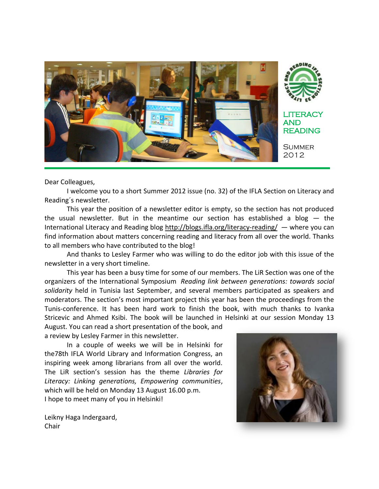

Dear Colleagues,

I welcome you to a short Summer 2012 issue (no. 32) of the IFLA Section on Literacy and Reading´s newsletter.

This year the position of a newsletter editor is empty, so the section has not produced the usual newsletter. But in the meantime our section has established a blog  $-$  the International Literacy and Reading blog<http://blogs.ifla.org/literacy-reading/> — where you can find information about matters concerning reading and literacy from all over the world. Thanks to all members who have contributed to the blog!

And thanks to Lesley Farmer who was willing to do the editor job with this issue of the newsletter in a very short timeline.

This year has been a busy time for some of our members. The LiR Section was one of the organizers of the International Symposium *Reading link between generations: towards social solidarity* held in Tunisia last September, and several members participated as speakers and moderators. The section's most important project this year has been the proceedings from the Tunis-conference. It has been hard work to finish the book, with much thanks to Ivanka Stricevic and Ahmed Ksibi. The book will be launched in Helsinki at our session Monday 13 August. You can read a short presentation of the book, and

a review by Lesley Farmer in this newsletter.

In a couple of weeks we will be in Helsinki for the78th IFLA World Library and Information Congress, an inspiring week among librarians from all over the world. The LiR section's session has the theme *Libraries for Literacy: Linking generations, Empowering communities*, which will be held on Monday 13 August 16.00 p.m. I hope to meet many of you in Helsinki!



Leikny Haga Indergaard, Chair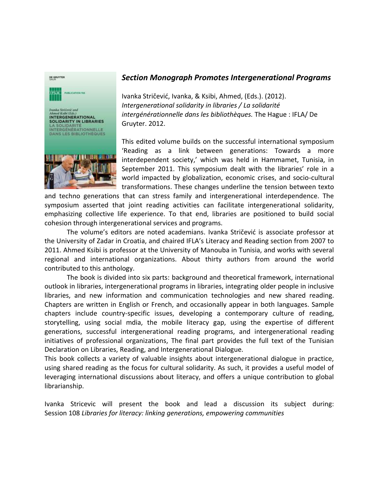

## *[Section Monograph](http://blogs.ifla.org/literacy-reading/2012/07/31/new-section-monograph/) Promotes Intergenerational Programs*

Ivanka Stričević, Ivanka, & Ksibi, Ahmed, (Eds.). (2012). *Intergenerational solidarity in libraries / La solidarité intergénérationnelle dans les bibliothèques.* The Hague : IFLA/ De Gruyter. 2012.

This edited volume builds on the successful international symposium 'Reading as a link between generations: Towards a more interdependent society,' which was held in Hammamet, Tunisia, in September 2011. This symposium dealt with the libraries' role in a world impacted by globalization, economic crises, and socio-cultural transformations. These changes underline the tension between texto

and techno generations that can stress family and intergenerational interdependence. The symposium asserted that joint reading activities can facilitate intergenerational solidarity, emphasizing collective life experience. To that end, libraries are positioned to build social cohesion through intergenerational services and programs.

The volume's editors are noted academians. Ivanka Stričević is associate professor at the University of Zadar in Croatia, and chaired IFLA's Literacy and Reading section from 2007 to 2011. Ahmed Ksibi is professor at the University of Manouba in Tunisia, and works with several regional and international organizations. About thirty authors from around the world contributed to this anthology.

The book is divided into six parts: background and theoretical framework, international outlook in libraries, intergenerational programs in libraries, integrating older people in inclusive libraries, and new information and communication technologies and new shared reading. Chapters are written in English or French, and occasionally appear in both languages. Sample chapters include country-specific issues, developing a contemporary culture of reading, storytelling, using social mdia, the mobile literacy gap, using the expertise of different generations, successful intergenerational reading programs, and intergenerational reading initiatives of professional organizations, The final part provides the full text of the Tunisian Declaration on Libraries, Reading, and Intergenerational Dialogue.

This book collects a variety of valuable insights about intergenerational dialogue in practice, using shared reading as the focus for cultural solidarity. As such, it provides a useful model of leveraging international discussions about literacy, and offers a unique contribution to global librarianship.

Ivanka Stricevic will present the book and lead a discussion its subject during: Session 108 *[Libraries for literacy: linking generations, empowering communities](http://conference.ifla.org/ifla78/session-108)*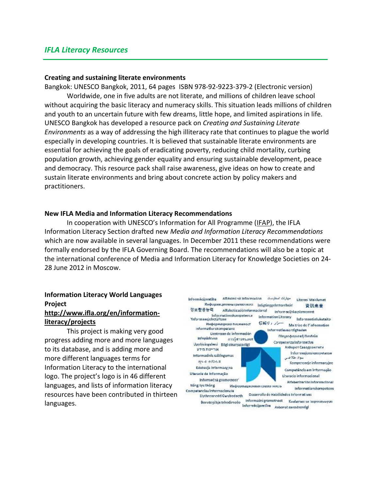practitioners.

#### **Creating and sustaining literate environments**

Bangkok: UNESCO Bangkok, 2011, 64 pages ISBN 978-92-9223-379-2 (Electronic version) Worldwide, one in five adults are not literate, and millions of children leave school without acquiring the basic literacy and numeracy skills. This situation leads millions of children and youth to an uncertain future with few dreams, little hope, and limited aspirations in life. UNESCO Bangkok has developed a resource pack on *Creating and Sustaining Literate Environments* as a way of addressing the high illiteracy rate that continues to plague the world especially in developing countries. It is believed that sustainable literate environments are essential for achieving the goals of eradicating poverty, reducing child mortality, curbing population growth, achieving gender equality and ensuring sustainable development, peace and democracy. This resource pack shall raise awareness, give ideas on how to create and sustain literate environments and bring about concrete action by policy makers and

#### **New IFLA Media and Information Literacy Recommendations**

In cooperation with UNESCO's Information for All Programme ([IFAP\)](http://www.unesco.org/new/en/communication-and-information/intergovernmental-programmes/information-for-all-programme-ifap), the IFLA Information Literacy Section drafted new *[Media and Information Literacy Recommendations](http://www.ifla.org/en/publications/ifla-media-and-information-literacy-recommendations)* which are now available in several languages. In December 2011 these recommendations were formally endorsed by the IFLA Governing Board. The recommendations will also be a topic at the international conference of [Media and Information Literacy for Knowledge Societies](http://www.ifla.org/en/events/media-and-information-literacy-for-knowledge-societies) on 24- 28 June 2012 in Moscow.

# **Information Literacy World Languages Project**

#### **[http://www.ifla.org/en/information](https://mail.csulb.edu/owa/redir.aspx?C=b6d12b92428d49698ed6c925409beeb9&URL=http%3a%2f%2fwww.ifla.org%2fen%2finformation-literacy%2fprojects)[literacy/projects](https://mail.csulb.edu/owa/redir.aspx?C=b6d12b92428d49698ed6c925409beeb9&URL=http%3a%2f%2fwww.ifla.org%2fen%2finformation-literacy%2fprojects)**

This project is making very good progress adding more and more languages to its database, and is adding more and more different languages terms for Information Literacy to the international logo. The project's logo is in 46 different languages, and lists of information literacy resources have been contributed in thirteen languages.

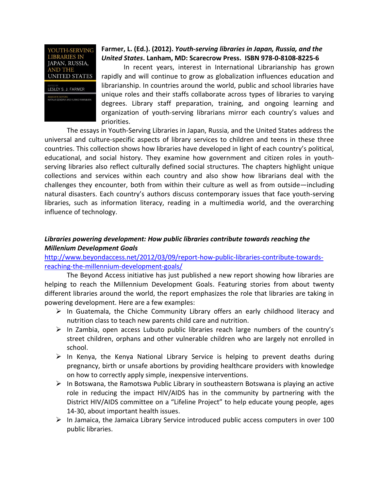

## **Farmer, L. (Ed.). (2012).** *Youth-serving libraries in Japan, Russia, and the United States***. Lanham, MD: Scarecrow Press. ISBN 978-0-8108-8225-6**

In recent years, interest in International Librarianship has grown rapidly and will continue to grow as globalization influences education and librarianship. In countries around the world, public and school libraries have unique roles and their staffs collaborate across types of libraries to varying degrees. Library staff preparation, training, and ongoing learning and organization of youth-serving librarians mirror each country's values and priorities.

The essays in Youth-Serving Libraries in Japan, Russia, and the United States address the universal and culture-specific aspects of library services to children and teens in these three countries. This collection shows how libraries have developed in light of each country's political, educational, and social history. They examine how government and citizen roles in youthserving libraries also reflect culturally defined social structures. The chapters highlight unique collections and services within each country and also show how librarians deal with the challenges they encounter, both from within their culture as well as from outside—including natural disasters. Each country's authors discuss contemporary issues that face youth-serving libraries, such as information literacy, reading in a multimedia world, and the overarching influence of technology.

## *[Libraries powering development: How public libraries contribute towards reaching the](http://www.beyondaccesscampaign.org/wp-content/uploads/2012/03/Beyond-Access-Libraries-MDGs-Small.pdf)  [Millenium Development Goals](http://www.beyondaccesscampaign.org/wp-content/uploads/2012/03/Beyond-Access-Libraries-MDGs-Small.pdf)*

[http://www.beyondaccess.net/2012/03/09/report-how-public-libraries-contribute-towards](http://www.beyondaccess.net/2012/03/09/report-how-public-libraries-contribute-towards-reaching-the-millennium-development-goals/)[reaching-the-millennium-development-goals/](http://www.beyondaccess.net/2012/03/09/report-how-public-libraries-contribute-towards-reaching-the-millennium-development-goals/)

The [Beyond Access initiative](http://www.beyondaccess.net/) has just published a new report showing how libraries are helping to reach the Millennium Development Goals. Featuring stories from about twenty different libraries around the world, the report emphasizes the role that libraries are taking in powering development. Here are a few examples:

- $\triangleright$  In Guatemala, the Chiche Community Library offers an early childhood literacy and nutrition class to teach new parents child care and nutrition.
- $\triangleright$  In Zambia, open access Lubuto public libraries reach large numbers of the country's street children, orphans and other vulnerable children who are largely not enrolled in school.
- $\triangleright$  In Kenya, the Kenya National Library Service is helping to prevent deaths during pregnancy, birth or unsafe abortions by providing healthcare providers with knowledge on how to correctly apply simple, inexpensive interventions.
- $\triangleright$  In Botswana, the Ramotswa Public Library in southeastern Botswana is playing an active role in reducing the impact HIV/AIDS has in the community by partnering with the District HIV/AIDS committee on a "Lifeline Project" to help educate young people, ages 14-30, about important health issues.
- $\triangleright$  In Jamaica, the Jamaica Library Service introduced public access computers in over 100 public libraries.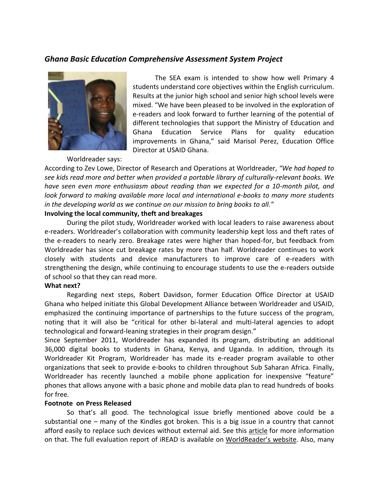## *Ghana Basic Education Comprehensive Assessment System Project*



The SEA exam is intended to show how well Primary 4 students understand core objectives within the English curriculum. Results at the junior high school and senior high school levels were mixed. "We have been pleased to be involved in the exploration of e-readers and look forward to further learning of the potential of different technologies that support the Ministry of Education and Ghana Education Service Plans for quality education improvements in Ghana," said Marisol Perez, Education Office Director at USAID Ghana.

Worldreader says:

According to Zev Lowe, Director of Research and Operations at Worldreader, *"We had hoped to see kids read more and better when provided a portable library of culturally-relevant books. We have seen even more enthusiasm about reading than we expected for a 10-month pilot, and look forward to making available more local and international e-books to many more students in the developing world as we continue on our mission to bring books to all."*

#### **Involving the local community, theft and breakages**

During the pilot study, Worldreader worked with local leaders to raise awareness about e-readers. Worldreader's collaboration with community leadership kept loss and theft rates of the e-readers to nearly zero. Breakage rates were higher than hoped-for, but feedback from Worldreader has since cut breakage rates by more than half. Worldreader continues to work closely with students and device manufacturers to improve care of e-readers with strengthening the design, while continuing to encourage students to use the e-readers outside of school so that they can read more.

#### **What next?**

Regarding next steps, Robert Davidson, former Education Office Director at USAID Ghana who helped initiate this Global Development Alliance between Worldreader and USAID, emphasized the continuing importance of partnerships to the future success of the program, noting that it will also be "critical for other bi-lateral and multi-lateral agencies to adopt technological and forward-leaning strategies in their program design."

Since September 2011, Worldreader has expanded its program, distributing an additional 36,000 digital books to students in Ghana, Kenya, and Uganda. In addition, through its Worldreader Kit Program, Worldreader has made its e-reader program available to other organizations that seek to provide e-books to children throughout Sub Saharan Africa. Finally, Worldreader has recently launched a mobile phone application for inexpensive "feature" phones that allows anyone with a basic phone and mobile data plan to read hundreds of books for free.

#### **Footnote on Press Released**

So that's all good. The technological issue briefly mentioned above could be a substantial one – many of the Kindles got broken. This is a big issue in a country that cannot afford easily to replace such devices without external aid. See this [article](http://www.theverge.com/2012/4/27/2981379/iread-worldreader-amazon-kindle-ghana-students) for more information on that. The full evaluation report of iREAD is available on [WorldReader's website](http://www.worldreader.org/learnings/). Also, many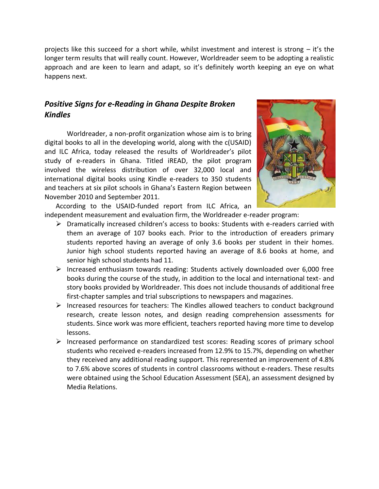projects like this succeed for a short while, whilst investment and interest is strong – it's the longer term results that will really count. However, Worldreader seem to be adopting a realistic approach and are keen to learn and adapt, so it's definitely worth keeping an eye on what happens next.

# *Positive Signs [for e-Reading in Ghana Despite Broken](http://blogs.ifla.org/literacy-reading/2012/05/08/e-reading-with-kindles-in-ghana/)  [Kindles](http://blogs.ifla.org/literacy-reading/2012/05/08/e-reading-with-kindles-in-ghana/)*

Worldreader, a non-profit organization whose aim is to bring digital books to all in the developing world, along with the c(USAID) and ILC Africa, today released the results of Worldreader's pilot study of e-readers in Ghana. Titled iREAD, the pilot program involved the wireless distribution of over 32,000 local and international digital books using Kindle e-readers to 350 students and teachers at six pilot schools in Ghana's Eastern Region between November 2010 and September 2011.



According to the USAID-funded report from ILC Africa, an independent measurement and evaluation firm, the Worldreader e-reader program:

- $\triangleright$  Dramatically increased children's access to books: Students with e-readers carried with them an average of 107 books each. Prior to the introduction of ereaders primary students reported having an average of only 3.6 books per student in their homes. Junior high school students reported having an average of 8.6 books at home, and senior high school students had 11.
- Increased enthusiasm towards reading: Students actively downloaded over 6,000 free books during the course of the study, in addition to the local and international text- and story books provided by Worldreader. This does not include thousands of additional free first-chapter samples and trial subscriptions to newspapers and magazines.
- $\triangleright$  Increased resources for teachers: The Kindles allowed teachers to conduct background research, create lesson notes, and design reading comprehension assessments for students. Since work was more efficient, teachers reported having more time to develop lessons.
- $\triangleright$  Increased performance on standardized test scores: Reading scores of primary school students who received e-readers increased from 12.9% to 15.7%, depending on whether they received any additional reading support. This represented an improvement of 4.8% to 7.6% above scores of students in control classrooms without e-readers. These results were obtained using the School Education Assessment (SEA), an assessment designed by Media Relations.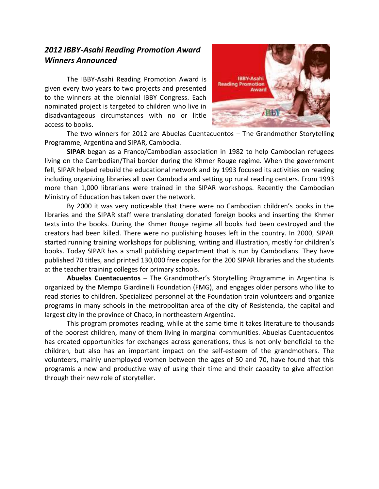# *[2012 IBBY-Asahi Reading Promotion Award](http://blogs.ifla.org/literacy-reading/2012/03/28/2012-ibby-asahi-reading-promotion-award-winners-announced/)  [Winners Announced](http://blogs.ifla.org/literacy-reading/2012/03/28/2012-ibby-asahi-reading-promotion-award-winners-announced/)*

The [IBBY-Asahi Reading Promotion Award](http://www.ibby.org/index.php?id=272) is given every two years to two projects and presented to the winners at the biennial IBBY Congress. Each nominated project is targeted to children who live in disadvantageous circumstances with no or little access to books.



The two winners for 2012 are Abuelas Cuentacuentos – The Grandmother Storytelling Programme, Argentina and SIPAR, Cambodia.

**SIPAR** began as a Franco/Cambodian association in 1982 to help Cambodian refugees living on the Cambodian/Thai border during the Khmer Rouge regime. When the government fell, SIPAR helped rebuild the educational network and by 1993 focused its activities on reading including organizing libraries all over Cambodia and setting up rural reading centers. From 1993 more than 1,000 librarians were trained in the SIPAR workshops. Recently the Cambodian Ministry of Education has taken over the network.

By 2000 it was very noticeable that there were no Cambodian children's books in the libraries and the SIPAR staff were translating donated foreign books and inserting the Khmer texts into the books. During the Khmer Rouge regime all books had been destroyed and the creators had been killed. There were no publishing houses left in the country. In 2000, SIPAR started running training workshops for publishing, writing and illustration, mostly for children's books. Today SIPAR has a small publishing department that is run by Cambodians. They have published 70 titles, and printed 130,000 free copies for the 200 SIPAR libraries and the students at the teacher training colleges for primary schools.

**Abuelas Cuentacuentos** – The Grandmother's Storytelling Programme in Argentina is organized by the Mempo Giardinelli Foundation (FMG), and engages older persons who like to read stories to children. Specialized personnel at the Foundation train volunteers and organize programs in many schools in the metropolitan area of the city of Resistencia, the capital and largest city in the province of Chaco, in northeastern Argentina.

This program promotes reading, while at the same time it takes literature to thousands of the poorest children, many of them living in marginal communities. Abuelas Cuentacuentos has created opportunities for exchanges across generations, thus is not only beneficial to the children, but also has an important impact on the self-esteem of the grandmothers. The volunteers, mainly unemployed women between the ages of 50 and 70, have found that this programis a new and productive way of using their time and their capacity to give affection through their new role of storyteller.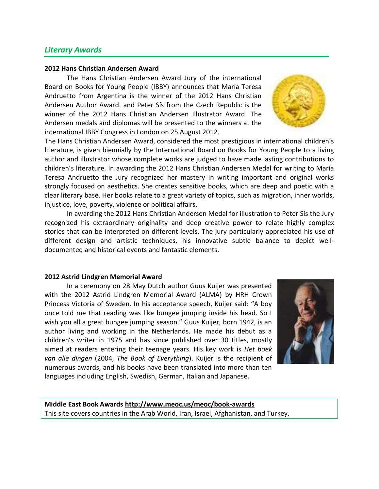## *[Literary Awards](http://blogs.ifla.org/literacy-reading/2012/07/24/literary-awards/)*

#### **2012 Hans Christian Andersen Award**

The Hans Christian Andersen Award Jury of the international Board on Books for Young People (IBBY) announces that María Teresa Andruetto from Argentina is the winner of the 2012 Hans Christian Andersen Author Award. and Peter Sís from the Czech Republic is the winner of the 2012 Hans Christian Andersen Illustrator Award. The Andersen medals and diplomas will be presented to the winners at the international IBBY Congress in London on 25 August 2012.

The Hans Christian Andersen Award, considered the most prestigious in international children's literature, is given biennially by the International Board on Books for Young People to a living author and illustrator whose complete works are judged to have made lasting contributions to children's literature. In awarding the 2012 Hans Christian Andersen Medal for writing to María Teresa Andruetto the Jury recognized her mastery in writing important and original works strongly focused on aesthetics. She creates sensitive books, which are deep and poetic with a clear literary base. Her books relate to a great variety of topics, such as migration, inner worlds, injustice, love, poverty, violence or political affairs.

In awarding the 2012 Hans Christian Andersen Medal for illustration to Peter Sís the Jury recognized his extraordinary originality and deep creative power to relate highly complex stories that can be interpreted on different levels. The jury particularly appreciated his use of different design and artistic techniques, his innovative subtle balance to depict welldocumented and historical events and fantastic elements.

#### **2012 Astrid Lindgren Memorial Award**

In a ceremony on 28 May Dutch author Guus Kuijer was presented with the 2012 Astrid Lindgren Memorial Award (ALMA) by HRH Crown Princess Victoria of Sweden. In his acceptance speech, Kuijer said: "A boy once told me that reading was like bungee jumping inside his head. So I wish you all a great bungee jumping season." Guus Kuijer, born 1942, is an author living and working in the Netherlands. He made his debut as a children's writer in 1975 and has since published over 30 titles, mostly aimed at readers entering their teenage years. His key work is *Het boek van alle dingen* (2004, *The Book of Everything*). Kuijer is the recipient of numerous awards, and his books have been translated into more than ten languages including English, Swedish, German, Italian and Japanese.



**Middle East Book Awards [http://www.meoc.us/meoc/book-awards](https://mail.csulb.edu/owa/redir.aspx?C=b6d12b92428d49698ed6c925409beeb9&URL=http%3a%2f%2fwww.meoc.us%2fmeoc%2fbook-awards)** This site covers countries in the Arab World, Iran, Israel, Afghanistan, and Turkey.

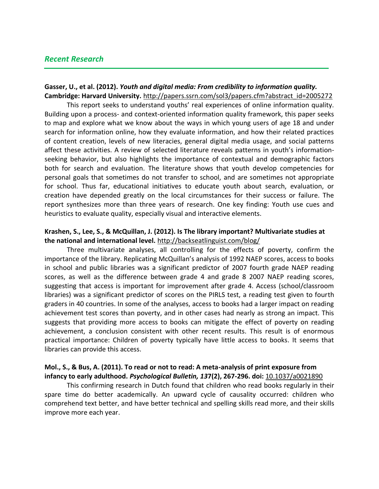## *[Recent Research](http://blogs.ifla.org/literacy-reading/2012/07/24/youth-and-digital-media-research/)*

#### **Gasser, U., et al. (2012).** *Youth and digital media: From credibility to information quality.*  **Cambridge: Harvard University.** [http://papers.ssrn.com/sol3/papers.cfm?abstract\\_id=2005272](http://papers.ssrn.com/sol3/papers.cfm?abstract_id=2005272)

This report seeks to understand youths' real experiences of online information quality. Building upon a process- and context-oriented information quality framework, this paper seeks to map and explore what we know about the ways in which young users of age 18 and under search for information online, how they evaluate information, and how their related practices of content creation, levels of new literacies, general digital media usage, and social patterns affect these activities. A review of selected literature reveals patterns in youth's informationseeking behavior, but also highlights the importance of contextual and demographic factors both for search and evaluation. The literature shows that youth develop competencies for personal goals that sometimes do not transfer to school, and are sometimes not appropriate for school. Thus far, educational initiatives to educate youth about search, evaluation, or creation have depended greatly on the local circumstances for their success or failure. The report synthesizes more than three years of research. One key finding: Youth use cues and heuristics to evaluate quality, especially visual and interactive elements.

#### **Krashen, S., Lee, S., & McQuillan, J. (2012). Is The library important? Multivariate studies at the national and international level.** <http://backseatlinguist.com/blog/>

Three multivariate analyses, all controlling for the effects of poverty, confirm the importance of the library. Replicating McQuillan's analysis of 1992 NAEP scores, access to books in school and public libraries was a significant predictor of 2007 fourth grade NAEP reading scores, as well as the difference between grade 4 and grade 8 2007 NAEP reading scores, suggesting that access is important for improvement after grade 4. Access (school/classroom libraries) was a significant predictor of scores on the PIRLS test, a reading test given to fourth graders in 40 countries. In some of the analyses, access to books had a larger impact on reading achievement test scores than poverty, and in other cases had nearly as strong an impact. This suggests that providing more access to books can mitigate the effect of poverty on reading achievement, a conclusion consistent with other recent results. This result is of enormous practical importance: Children of poverty typically have little access to books. It seems that libraries can provide this access.

## **Mol., S., & Bus, A. (2011). To read or not to read: A meta-analysis of print exposure from infancy to early adulthood.** *Psychological Bulletin, 13***7(2), 267-296. doi:** [10.1037/a0021890](http://psycnet.apa.org/doi/10.1037/a0021890)

This confirming research in Dutch found that children who read books regularly in their spare time do better academically. An upward cycle of causality occurred: children who comprehend text better, and have better technical and spelling skills read more, and their skills improve more each year.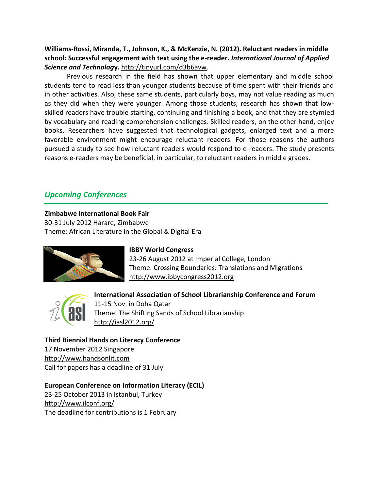## **Williams-Rossi, Miranda, T., Johnson, K., & McKenzie, N. (2012). Reluctant readers in middle school: Successful engagement with text using the e-reader.** *International Journal of Applied Science and Technolog***y.** [http://tinyurl.com/d3b6avw.](http://tinyurl.com/d3b6avw)

Previous research in the field has shown that upper elementary and middle school students tend to read less than younger students because of time spent with their friends and in other activities. Also, these same students, particularly boys, may not value reading as much as they did when they were younger. Among those students, research has shown that lowskilled readers have trouble starting, continuing and finishing a book, and that they are stymied by vocabulary and reading comprehension challenges. Skilled readers, on the other hand, enjoy books. Researchers have suggested that technological gadgets, enlarged text and a more favorable environment might encourage reluctant readers. For those reasons the authors pursued a study to see how reluctant readers would respond to e-readers. The study presents reasons e-readers may be beneficial, in particular, to reluctant readers in middle grades.

# *[Upcoming Conferences](http://blogs.ifla.org/literacy-reading/2012/07/24/upcoming-conferences/)*

## **Zimbabwe International Book Fair**

30-31 July 2012 Harare, Zimbabwe Theme: African Literature in the Global & Digital Era



## **IBBY World Congress**

23-26 August 2012 at Imperial College, London Theme: Crossing Boundaries: Translations and Migrations [http://www.ibbycongress2012.org](http://www.ibbycongress2012.org/)



## **International Association of School Librarianship Conference and Forum**  11-15 Nov. in Doha Qatar Theme: The Shifting Sands of School Librarianship <http://iasl2012.org/>

## **Third Biennial Hands on Literacy Conference**

17 November 2012 Singapore [http://www.handsonlit.com](http://www.handsonlit.com/) Call for papers has a deadline of 31 July

## **European Conference on Information Literacy (ECIL)**

23-25 October 2013 in Istanbul, Turkey <http://www.ilconf.org/> The deadline for contributions is 1 February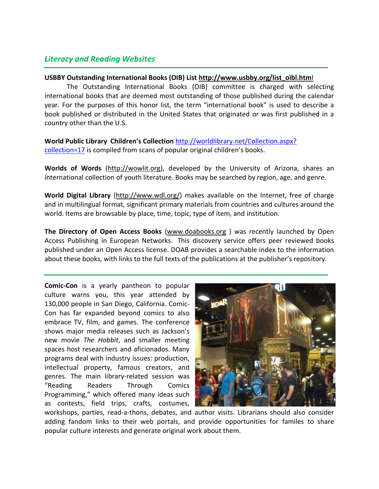# *[Literacy and Reading Websites](http://blogs.ifla.org/literacy-reading/2012/07/24/literacy-and-reading-websites/)*

## **USBBY Outstanding International Books (OIB) List [http://www.usbby.org/list\\_oibl.htm](http://www.usbby.org/list_oibl.html)**l

The Outstanding International Books (OIB) committee is charged with selecting international books that are deemed most outstanding of those published during the calendar year. For the purposes of this honor list, the term "international book" is used to describe a book published or distributed in the United States that originated or was first published in a country other than the U.S.

**World Public Library Children's Collection** [http://worldlibrary.net/Collection.aspx?](http://worldlibrary.net/Collection.aspx?%20collection=17)  [collection=17](http://worldlibrary.net/Collection.aspx?%20collection=17) is compiled from scans of popular original children's books.

**Worlds of Words** [\(http://wowlit.org\)](http://wowlit.org/), developed by the University of Arizona, shares an international collection of youth literature. Books may be searched by region, age, and genre.

**World Digital Library** [\(http://www.wdl.org/\)](http://www.wdl.org/) makes available on the Internet, free of charge and in multilingual format, significant primary materials from countries and cultures around the world. Items are browsable by place, time, topic, type of item, and institution.

**The Directory of Open Access Books** [\(www.doabooks.org](https://mail.csulb.edu/owa/redir.aspx?C=b6d12b92428d49698ed6c925409beeb9&URL=http%3a%2f%2fwww.doabooks.org%2f) ) was recently launched by Open Access Publishing in European Networks. This discovery service offers peer reviewed books published under an Open Access license. DOAB provides a searchable index to the information about these books, with links to the full texts of the publications at the publisher's repository.

**Comic-Con** is a yearly pantheon to popular culture warns you, this year attended by 130,000 people in San Diego, California. Comic-Con has far expanded beyond comics to also embrace TV, film, and games. The conference shows major media releases such as Jackson's new movie *The Hobbit*, and smaller meeting spaces host researchers and aficionados. Many programs deal with industry issues: production, intellectual property, famous creators, and genres. The main library-related session was "Reading Readers Through Comics Programming," which offered many ideas such as contests, field trips, crafts, costumes,



workshops, parties, read-a-thons, debates, and author visits. Librarians should also consider adding fandom links to their web portals, and provide opportunities for familes to share popular culture interests and generate original work about them.